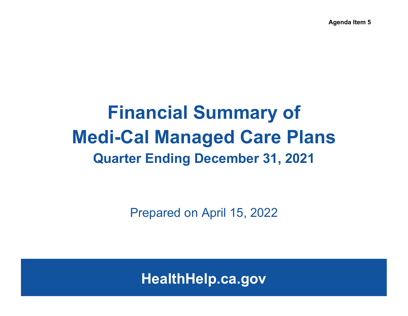**Agenda Item 5**

# **Financial Summary of Medi-Cal Managed Care Plans Quarter Ending December 31, 2021**

Prepared on April 15, 2022

**HealthHelp.ca.gov**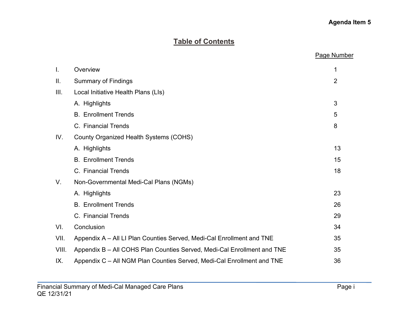# **Agenda Item 5**

# **Table of Contents**

|                |                                                                         | <b>Page Number</b> |
|----------------|-------------------------------------------------------------------------|--------------------|
| $\mathbf{I}$ . | Overview                                                                | 1                  |
| Ш.             | <b>Summary of Findings</b>                                              | $\overline{2}$     |
| III.           | Local Initiative Health Plans (LIs)                                     |                    |
|                | A. Highlights                                                           | 3                  |
|                | <b>B. Enrollment Trends</b>                                             | 5                  |
|                | C. Financial Trends                                                     | 8                  |
| IV.            | County Organized Health Systems (COHS)                                  |                    |
|                | A. Highlights                                                           | 13                 |
|                | <b>B.</b> Enrollment Trends                                             | 15                 |
|                | C. Financial Trends                                                     | 18                 |
| V.             | Non-Governmental Medi-Cal Plans (NGMs)                                  |                    |
|                | A. Highlights                                                           | 23                 |
|                | <b>B.</b> Enrollment Trends                                             | 26                 |
|                | C. Financial Trends                                                     | 29                 |
| VI.            | Conclusion                                                              | 34                 |
| VII.           | Appendix A - All LI Plan Counties Served, Medi-Cal Enrollment and TNE   | 35                 |
| VIII.          | Appendix B - All COHS Plan Counties Served, Medi-Cal Enrollment and TNE | 35                 |
| IX.            | Appendix C – All NGM Plan Counties Served, Medi-Cal Enrollment and TNE  | 36                 |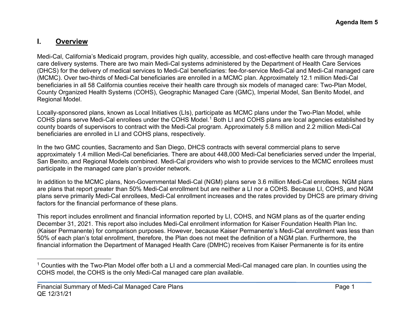# <span id="page-2-0"></span>**I. Overview**

Medi-Cal, California's Medicaid program, provides high quality, accessible, and cost-effective health care through managed care delivery systems. There are two main Medi-Cal systems administered by the Department of Health Care Services (DHCS) for the delivery of medical services to Medi-Cal beneficiaries: fee-for-service Medi-Cal and Medi-Cal managed care (MCMC). Over two-thirds of Medi-Cal beneficiaries are enrolled in a MCMC plan. Approximately 12.1 million Medi-Cal beneficiaries in all 58 California counties receive their health care through six models of managed care: Two-Plan Model, County Organized Health Systems (COHS), Geographic Managed Care (GMC), Imperial Model, San Benito Model, and Regional Model.

Locally-sponsored plans, known as Local Initiatives (LIs), participate as MCMC plans under the Two-Plan Model, while COHS plans serve Medi-Cal enrollees under the COHS Model.<sup>[1](#page-2-0)</sup> Both LI and COHS plans are local agencies established by county boards of supervisors to contract with the Medi-Cal program. Approximately 5.8 million and 2.2 million Medi-Cal beneficiaries are enrolled in LI and COHS plans, respectively.

In the two GMC counties, Sacramento and San Diego, DHCS contracts with several commercial plans to serve approximately 1.4 million Medi-Cal beneficiaries. There are about 448,000 Medi-Cal beneficiaries served under the Imperial, San Benito, and Regional Models combined. Medi-Cal providers who wish to provide services to the MCMC enrollees must participate in the managed care plan's provider network.

In addition to the MCMC plans, Non-Governmental Medi-Cal (NGM) plans serve 3.6 million Medi-Cal enrollees. NGM plans are plans that report greater than 50% Medi-Cal enrollment but are neither a LI nor a COHS. Because LI, COHS, and NGM plans serve primarily Medi-Cal enrollees, Medi-Cal enrollment increases and the rates provided by DHCS are primary driving factors for the financial performance of these plans.

This report includes enrollment and financial information reported by LI, COHS, and NGM plans as of the quarter ending December 31, 2021. This report also includes Medi-Cal enrollment information for Kaiser Foundation Health Plan Inc. (Kaiser Permanente) for comparison purposes. However, because Kaiser Permanente's Medi-Cal enrollment was less than 50% of each plan's total enrollment, therefore, the Plan does not meet the definition of a NGM plan. Furthermore, the financial information the Department of Managed Health Care (DMHC) receives from Kaiser Permanente is for its entire

<sup>&</sup>lt;sup>1</sup> Counties with the Two-Plan Model offer both a LI and a commercial Medi-Cal managed care plan. In counties using the COHS model, the COHS is the only Medi-Cal managed care plan available.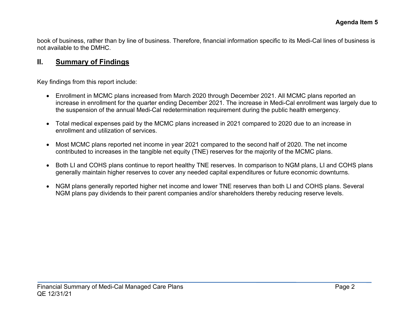book of business, rather than by line of business. Therefore, financial information specific to its Medi-Cal lines of business is not available to the DMHC.

# **II. Summary of Findings**

Key findings from this report include:

- Enrollment in MCMC plans increased from March 2020 through December 2021. All MCMC plans reported an increase in enrollment for the quarter ending December 2021. The increase in Medi-Cal enrollment was largely due to the suspension of the annual Medi-Cal redetermination requirement during the public health emergency.
- Total medical expenses paid by the MCMC plans increased in 2021 compared to 2020 due to an increase in enrollment and utilization of services.
- Most MCMC plans reported net income in year 2021 compared to the second half of 2020. The net income contributed to increases in the tangible net equity (TNE) reserves for the majority of the MCMC plans.
- Both LI and COHS plans continue to report healthy TNE reserves. In comparison to NGM plans, LI and COHS plans generally maintain higher reserves to cover any needed capital expenditures or future economic downturns.
- NGM plans generally reported higher net income and lower TNE reserves than both LI and COHS plans. Several NGM plans pay dividends to their parent companies and/or shareholders thereby reducing reserve levels.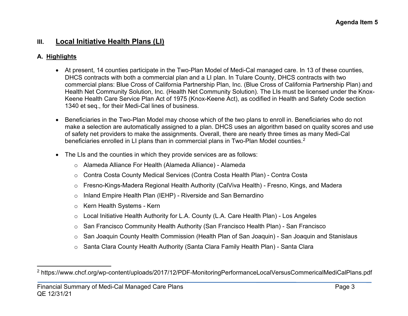# **III. Local Initiative Health Plans (LI)**

#### **A. Highlights**

- <span id="page-4-0"></span>• At present, 14 counties participate in the Two-Plan Model of Medi-Cal managed care. In 13 of these counties, DHCS contracts with both a commercial plan and a LI plan. In Tulare County, DHCS contracts with two commercial plans: Blue Cross of California Partnership Plan, Inc. (Blue Cross of California Partnership Plan) and Health Net Community Solution, Inc. (Health Net Community Solution). The LIs must be licensed under the Knox-Keene Health Care Service Plan Act of 1975 (Knox-Keene Act), as codified in Health and Safety Code section 1340 et seq., for their Medi-Cal lines of business.
- Beneficiaries in the Two-Plan Model may choose which of the two plans to enroll in. Beneficiaries who do not make a selection are automatically assigned to a plan. DHCS uses an algorithm based on quality scores and use of safety net providers to make the assignments. Overall, there are nearly three times as many Medi-Cal beneficiaries enrolled in LI plans than in commercial plans in Two-Plan Model counties.<sup>[2](#page-4-0)</sup>
- The LIs and the counties in which they provide services are as follows:
	- o Alameda Alliance For Health (Alameda Alliance) Alameda
	- o Contra Costa County Medical Services (Contra Costa Health Plan) Contra Costa
	- o Fresno-Kings-Madera Regional Health Authority (CalViva Health) Fresno, Kings, and Madera
	- o Inland Empire Health Plan (IEHP) Riverside and San Bernardino
	- o Kern Health Systems Kern
	- $\circ$  Local Initiative Health Authority for L.A. County (L.A. Care Health Plan) Los Angeles
	- o San Francisco Community Health Authority (San Francisco Health Plan) San Francisco
	- o [San Joaquin County Health Commission](http://wpso.dmhc.ca.gov/hpsearch/details.aspx?id=933%200338&name=&page=all) (Health Plan of San Joaquin) San Joaquin and Stanislaus
	- o Santa Clara County Health Authority (Santa Clara Family Health Plan) Santa Clara

<sup>2</sup> <https://www.chcf.org/wp-content/uploads/2017/12/PDF-MonitoringPerformanceLocalVersusCommericalMediCalPlans.pdf>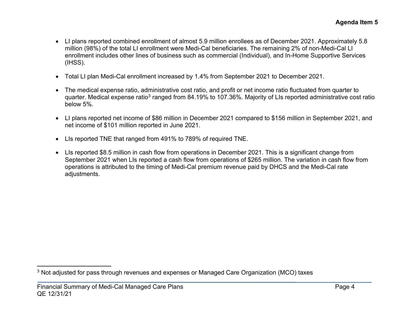- <span id="page-5-0"></span>• LI plans reported combined enrollment of almost 5.9 million enrollees as of December 2021. Approximately 5.8 million (98%) of the total LI enrollment were Medi-Cal beneficiaries. The remaining 2% of non-Medi-Cal LI enrollment includes other lines of business such as commercial (Individual), and In-Home Supportive Services (IHSS).
- Total LI plan Medi-Cal enrollment increased by 1.4% from September 2021 to December 2021.
- The medical expense ratio, administrative cost ratio, and profit or net income ratio fluctuated from quarter to quarter. Medical expense ratio<sup>[3](#page-5-0)</sup> ranged from 84.19% to 107.36%. Majority of LIs reported administrative cost ratio below 5%.
- LI plans reported net income of \$86 million in December 2021 compared to \$156 million in September 2021, and net income of \$101 million reported in June 2021.
- LIs reported TNE that ranged from 491% to 789% of required TNE.
- LIs reported \$8.5 million in cash flow from operations in December 2021. This is a significant change from September 2021 when LIs reported a cash flow from operations of \$265 million. The variation in cash flow from operations is attributed to the timing of Medi-Cal premium revenue paid by DHCS and the Medi-Cal rate adjustments.

<sup>&</sup>lt;sup>3</sup> Not adjusted for pass through revenues and expenses or Managed Care Organization (MCO) taxes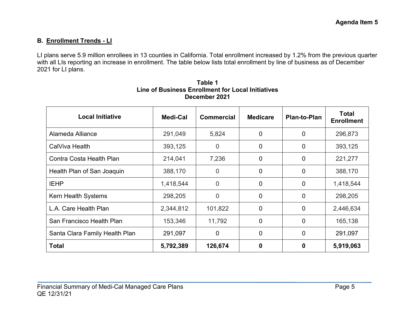# **B. Enrollment Trends - LI**

LI plans serve 5.9 million enrollees in 13 counties in California. Total enrollment increased by 1.2% from the previous quarter with all LIs reporting an increase in enrollment. The table below lists total enrollment by line of business as of December 2021 for LI plans.

| <b>Local Initiative</b>        | Medi-Cal  | <b>Commercial</b> | <b>Medicare</b> | <b>Plan-to-Plan</b> | <b>Total</b><br><b>Enrollment</b> |
|--------------------------------|-----------|-------------------|-----------------|---------------------|-----------------------------------|
| Alameda Alliance               | 291,049   | 5,824             | 0               | $\overline{0}$      | 296,873                           |
| CalViva Health                 | 393,125   | $\overline{0}$    | 0               | $\mathbf 0$         | 393,125                           |
| Contra Costa Health Plan       | 214,041   | 7,236             | 0               | $\overline{0}$      | 221,277                           |
| Health Plan of San Joaquin     | 388,170   | $\overline{0}$    | 0               | $\mathbf 0$         | 388,170                           |
| <b>IEHP</b>                    | 1,418,544 | $\overline{0}$    | 0               | $\mathbf 0$         | 1,418,544                         |
| Kern Health Systems            | 298,205   | $\overline{0}$    | 0               | $\overline{0}$      | 298,205                           |
| L.A. Care Health Plan          | 2,344,812 | 101,822           | $\overline{0}$  | $\overline{0}$      | 2,446,634                         |
| San Francisco Health Plan      | 153,346   | 11,792            | 0               | $\mathbf 0$         | 165,138                           |
| Santa Clara Family Health Plan | 291,097   | $\mathbf 0$       | 0               | $\overline{0}$      | 291,097                           |
| <b>Total</b>                   | 5,792,389 | 126,674           | 0               | 0                   | 5,919,063                         |

#### **Table 1 Line of Business Enrollment for Local Initiatives December 2021**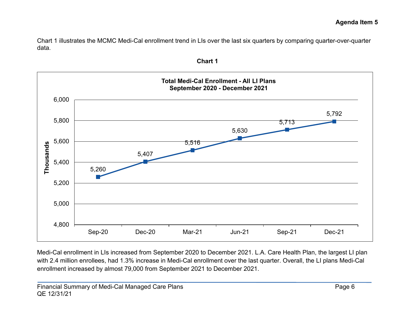Chart 1 illustrates the MCMC Medi-Cal enrollment trend in LIs over the last six quarters by comparing quarter-over-quarter data.



**Chart 1**

Medi-Cal enrollment in LIs increased from September 2020 to December 2021. L.A. Care Health Plan, the largest LI plan with 2.4 million enrollees, had 1.3% increase in Medi-Cal enrollment over the last quarter. Overall, the LI plans Medi-Cal enrollment increased by almost 79,000 from September 2021 to December 2021.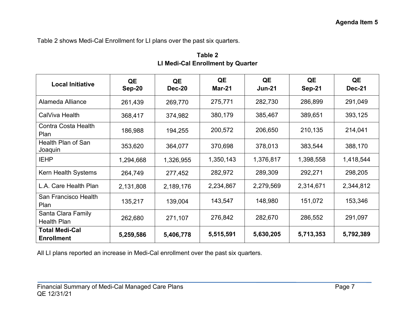Table 2 shows Medi-Cal Enrollment for LI plans over the past six quarters.

| <b>Local Initiative</b>                    | QE<br><b>Sep-20</b> | QE<br><b>Dec-20</b> | QE<br><b>Mar-21</b> | QE<br><b>Jun-21</b> | QE<br><b>Sep-21</b> | QE<br><b>Dec-21</b> |
|--------------------------------------------|---------------------|---------------------|---------------------|---------------------|---------------------|---------------------|
| Alameda Alliance                           | 261,439             | 269,770             | 275,771             | 282,730             | 286,899             | 291,049             |
| CalViva Health                             | 368,417             | 374,982             | 380,179             | 385,467             | 389,651             | 393,125             |
| <b>Contra Costa Health</b><br>Plan         | 186,988             | 194,255             | 200,572             | 206,650             | 210,135             | 214,041             |
| Health Plan of San<br>Joaquin              | 353,620             | 364,077             | 370,698             | 378,013             | 383,544             | 388,170             |
| <b>IEHP</b>                                | 1,294,668           | 1,326,955           | 1,350,143           | 1,376,817           | 1,398,558           | 1,418,544           |
| Kern Health Systems                        | 264,749             | 277,452             | 282,972             | 289,309             | 292,271             | 298,205             |
| L.A. Care Health Plan                      | 2,131,808           | 2,189,176           | 2,234,867           | 2,279,569           | 2,314,671           | 2,344,812           |
| San Francisco Health<br>Plan               | 135,217             | 139,004             | 143,547             | 148,980             | 151,072             | 153,346             |
| Santa Clara Family<br><b>Health Plan</b>   | 262,680             | 271,107             | 276,842             | 282,670             | 286,552             | 291,097             |
| <b>Total Medi-Cal</b><br><b>Enrollment</b> | 5,259,586           | 5,406,778           | 5,515,591           | 5,630,205           | 5,713,353           | 5,792,389           |

**Table 2 LI Medi-Cal Enrollment by Quarter**

All LI plans reported an increase in Medi-Cal enrollment over the past six quarters.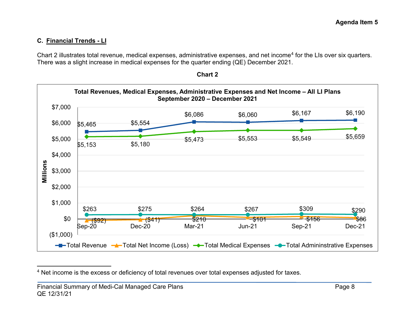# **C. Financial Trends - LI**

Chart 2 illustrates total revenue, medical expenses, administrative expenses, and net income[4](#page-9-0) for the LIs over six quarters. There was a slight increase in medical expenses for the quarter ending (QE) December 2021.



<span id="page-9-0"></span>

<sup>&</sup>lt;sup>4</sup> Net income is the excess or deficiency of total revenues over total expenses adjusted for taxes.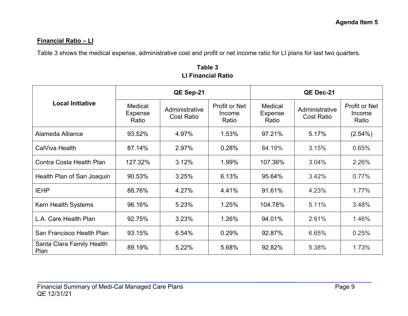#### **Financial Ratio – LI**

Table 3 shows the medical expense, administrative cost and profit or net income ratio for LI plans for last two quarters.

|                                   |                                    | QE Sep-21                           |                                  |                                    | QE Dec-21                           |                                         |
|-----------------------------------|------------------------------------|-------------------------------------|----------------------------------|------------------------------------|-------------------------------------|-----------------------------------------|
| <b>Local Initiative</b>           | Medical<br><b>Expense</b><br>Ratio | Administrative<br><b>Cost Ratio</b> | Profit or Net<br>Income<br>Ratio | Medical<br><b>Expense</b><br>Ratio | Administrative<br><b>Cost Ratio</b> | <b>Profit or Net</b><br>Income<br>Ratio |
| Alameda Alliance                  | 93.52%                             | 4.97%                               | 1.53%                            | 97.21%                             | 5.17%                               | $(2.54\%)$                              |
| CalViva Health                    | 87.14%                             | 2.97%                               | 0.28%                            | 84.19%                             | 3.15%                               | 0.65%                                   |
| Contra Costa Health Plan          | 127.32%                            | 3.12%                               | 1.99%                            | 107.36%                            | 3.04%                               | 2.26%                                   |
| Health Plan of San Joaquin        | 90.53%                             | 3.25%                               | 6.13%                            | 95.64%                             | 3.42%                               | 0.77%                                   |
| <b>IEHP</b>                       | 88.76%                             | 4.27%                               | 4.41%                            | 91.61%                             | 4.23%                               | 1.77%                                   |
| <b>Kern Health Systems</b>        | 96.16%                             | 5.23%                               | 1.25%                            | 104.78%                            | 5.11%                               | 3.48%                                   |
| L.A. Care Health Plan             | 92.75%                             | 3.23%                               | 1.26%                            | 94.01%                             | 2.61%                               | 1.46%                                   |
| San Francisco Health Plan         | 93.15%                             | 6.54%                               | 0.29%                            | 92.87%                             | 6.65%                               | 0.25%                                   |
| Santa Clara Family Health<br>Plan | 89.19%                             | 5.22%                               | 5.68%                            | 92.82%                             | 5.38%                               | 1.73%                                   |

**Table 3 LI Financial Ratio**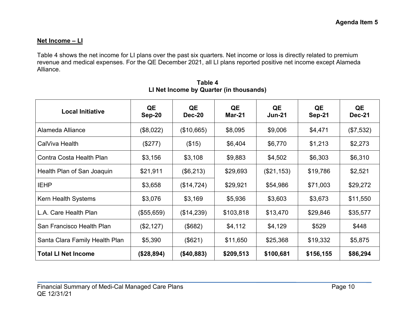#### **Net Income – LI**

Table 4 shows the net income for LI plans over the past six quarters. Net income or loss is directly related to premium revenue and medical expenses. For the QE December 2021, all LI plans reported positive net income except Alameda Alliance.

| <b>Local Initiative</b>        | QE<br><b>Sep-20</b> | QE<br>Dec-20 | QE<br>Mar-21 | QE<br><b>Jun-21</b> | QE<br><b>Sep-21</b> | QE<br><b>Dec-21</b> |
|--------------------------------|---------------------|--------------|--------------|---------------------|---------------------|---------------------|
| Alameda Alliance               | (\$8,022)           | (\$10,665)   | \$8,095      | \$9,006             | \$4,471             | (\$7,532)           |
| CalViva Health                 | (\$277)             | (\$15)       | \$6,404      | \$6,770             | \$1,213             | \$2,273             |
| Contra Costa Health Plan       | \$3,156             | \$3,108      | \$9,883      | \$4,502             | \$6,303             | \$6,310             |
| Health Plan of San Joaquin     | \$21,911            | (\$6,213)    | \$29,693     | (\$21,153)          | \$19,786            | \$2,521             |
| <b>IEHP</b>                    | \$3,658             | (\$14,724)   | \$29,921     | \$54,986            | \$71,003            | \$29,272            |
| Kern Health Systems            | \$3,076             | \$3,169      | \$5,936      | \$3,603             | \$3,673             | \$11,550            |
| L.A. Care Health Plan          | (\$55,659)          | (\$14,239)   | \$103,818    | \$13,470            | \$29,846            | \$35,577            |
| San Francisco Health Plan      | (\$2,127)           | (\$682)      | \$4,112      | \$4,129             | \$529               | \$448               |
| Santa Clara Family Health Plan | \$5,390             | (\$621)      | \$11,650     | \$25,368            | \$19,332            | \$5,875             |
| <b>Total LI Net Income</b>     | (\$28,894)          | (\$40,883)   | \$209,513    | \$100,681           | \$156,155           | \$86,294            |

**Table 4 LI Net Income by Quarter (in thousands)**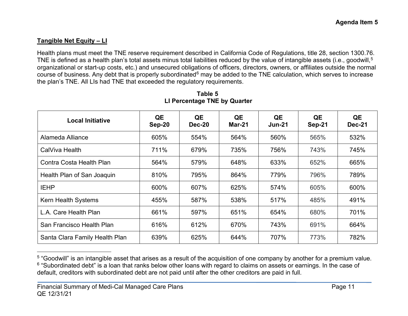### **Tangible Net Equity – LI**

Health plans must meet the TNE reserve requirement described in California Code of Regulations, title 28, section 1300.76. TNE is defined as a health plan's total assets minus total liabilities reduced by the value of intangible assets (i.e., goodwill, $^{\rm 5}$  $^{\rm 5}$  $^{\rm 5}$ organizational or start-up costs, etc.) and unsecured obligations of officers, directors, owners, or affiliates outside the normal course of business. Any debt that is properly subordinated $6$  may be added to the TNE calculation, which serves to increase the plan's TNE. All LIs had TNE that exceeded the regulatory requirements.

| <b>Local Initiative</b>        | QE<br>$Sep-20$ | QE<br><b>Dec-20</b> | QE<br>Mar-21 | QE<br>$Jun-21$ | QE<br>Sep-21 | QE<br>Dec-21 |
|--------------------------------|----------------|---------------------|--------------|----------------|--------------|--------------|
| Alameda Alliance               | 605%           | 554%                | 564%         | 560%           | 565%         | 532%         |
| CalViva Health                 | 711%           | 679%                | 735%         | 756%           | 743%         | 745%         |
| Contra Costa Health Plan       | 564%           | 579%                | 648%         | 633%           | 652%         | 665%         |
| Health Plan of San Joaquin     | 810%           | 795%                | 864%         | 779%           | 796%         | 789%         |
| <b>IEHP</b>                    | 600%           | 607%                | 625%         | 574%           | 605%         | 600%         |
| <b>Kern Health Systems</b>     | 455%           | 587%                | 538%         | 517%           | 485%         | 491%         |
| L.A. Care Health Plan          | 661%           | 597%                | 651%         | 654%           | 680%         | 701%         |
| San Francisco Health Plan      | 616%           | 612%                | 670%         | 743%           | 691%         | 664%         |
| Santa Clara Family Health Plan | 639%           | 625%                | 644%         | 707%           | 773%         | 782%         |

<span id="page-12-1"></span><span id="page-12-0"></span>**Table 5 LI Percentage TNE by Quarter**

<sup>5</sup> "Goodwill" is an intangible asset that arises as a result of the acquisition of one company by another for a premium value. <sup>6</sup> "Subordinated debt" is a [loan](http://www.investopedia.com/terms/l/loan.asp) that ranks below other loans with regard to claims on assets or [earnings.](http://www.investopedia.com/terms/e/earnings.asp) In the case of [default,](http://www.investopedia.com/terms/d/default2.asp) [creditors](http://www.investopedia.com/terms/c/creditor.asp) with subordinated debt are not paid until after the other creditors are paid in full.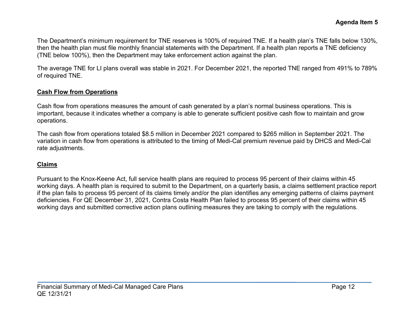The Department's minimum requirement for TNE reserves is 100% of required TNE. If a health plan's TNE falls below 130%, then the health plan must file monthly financial statements with the Department. If a health plan reports a TNE deficiency (TNE below 100%), then the Department may take enforcement action against the plan.

The average TNE for LI plans overall was stable in 2021. For December 2021, the reported TNE ranged from 491% to 789% of required TNE.

#### **Cash Flow from Operations**

Cash flow from operations measures the amount of cash generated by a plan's normal business operations. This is important, because it indicates whether a company is able to generate sufficient positive cash flow to maintain and grow operations.

The cash flow from operations totaled \$8.5 million in December 2021 compared to \$265 million in September 2021. The variation in cash flow from operations is attributed to the timing of Medi-Cal premium revenue paid by DHCS and Medi-Cal rate adjustments.

#### **Claims**

Pursuant to the Knox-Keene Act, full service health plans are required to process 95 percent of their claims within 45 working days. A health plan is required to submit to the Department, on a quarterly basis, a claims settlement practice report if the plan fails to process 95 percent of its claims timely and/or the plan identifies any emerging patterns of claims payment deficiencies. For QE December 31, 2021, Contra Costa Health Plan failed to process 95 percent of their claims within 45 working days and submitted corrective action plans outlining measures they are taking to comply with the regulations.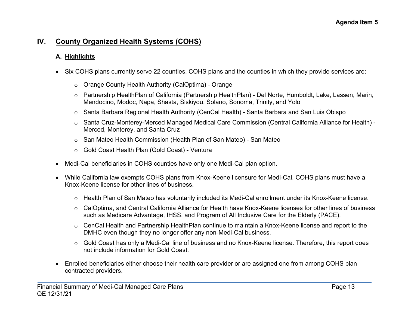# **IV. County Organized Health Systems (COHS)**

#### **A. Highlights**

- Six COHS plans currently serve 22 counties. COHS plans and the counties in which they provide services are:
	- o Orange County Health Authority (CalOptima) Orange
	- o Partnership HealthPlan of California (Partnership HealthPlan) Del Norte, Humboldt, Lake, Lassen, Marin, Mendocino, Modoc, Napa, Shasta, Siskiyou, Solano, Sonoma, Trinity, and Yolo
	- o Santa Barbara Regional Health Authority (CenCal Health) Santa Barbara and San Luis Obispo
	- o Santa Cruz-Monterey-Merced Managed Medical Care Commission (Central California Alliance for Health) Merced, Monterey, and Santa Cruz
	- o San Mateo Health Commission (Health Plan of San Mateo) San Mateo
	- o Gold Coast Health Plan (Gold Coast) Ventura
- Medi-Cal beneficiaries in COHS counties have only one Medi-Cal plan option.
- While California law exempts COHS plans from Knox-Keene licensure for Medi-Cal, COHS plans must have a Knox-Keene license for other lines of business.
	- o Health Plan of San Mateo has voluntarily included its Medi-Cal enrollment under its Knox-Keene license.
	- o CalOptima, and Central California Alliance for Health have Knox-Keene licenses for other lines of business such as Medicare Advantage, IHSS, and Program of All Inclusive Care for the Elderly (PACE).
	- o CenCal Health and Partnership HealthPlan continue to maintain a Knox-Keene license and report to the DMHC even though they no longer offer any non-Medi-Cal business.
	- o Gold Coast has only a Medi-Cal line of business and no Knox-Keene license. Therefore, this report does not include information for Gold Coast.
- Enrolled beneficiaries either choose their health care provider or are assigned one from among COHS plan contracted providers.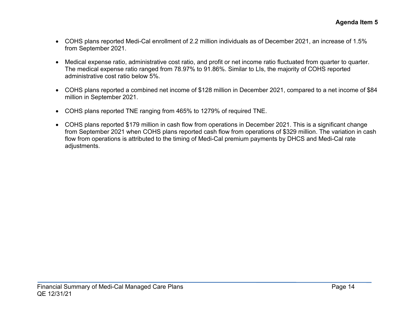- COHS plans reported Medi-Cal enrollment of 2.2 million individuals as of December 2021, an increase of 1.5% from September 2021.
- Medical expense ratio, administrative cost ratio, and profit or net income ratio fluctuated from quarter to quarter. The medical expense ratio ranged from 78.97% to 91.86%. Similar to LIs, the majority of COHS reported administrative cost ratio below 5%.
- COHS plans reported a combined net income of \$128 million in December 2021, compared to a net income of \$84 million in September 2021.
- COHS plans reported TNE ranging from 465% to 1279% of required TNE.
- COHS plans reported \$179 million in cash flow from operations in December 2021. This is a significant change from September 2021 when COHS plans reported cash flow from operations of \$329 million. The variation in cash flow from operations is attributed to the timing of Medi-Cal premium payments by DHCS and Medi-Cal rate adjustments.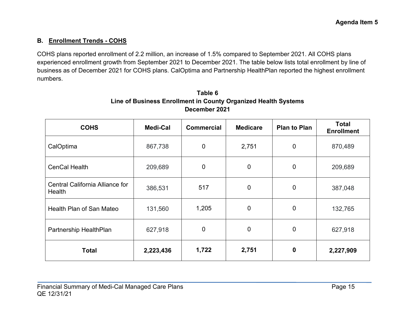# **B. Enrollment Trends - COHS**

COHS plans reported enrollment of 2.2 million, an increase of 1.5% compared to September 2021. All COHS plans experienced enrollment growth from September 2021 to December 2021. The table below lists total enrollment by line of business as of December 2021 for COHS plans. CalOptima and Partnership HealthPlan reported the highest enrollment numbers.

| <b>COHS</b>                               | <b>Medi-Cal</b> | <b>Commercial</b> | <b>Medicare</b> | <b>Plan to Plan</b> | <b>Total</b><br><b>Enrollment</b> |
|-------------------------------------------|-----------------|-------------------|-----------------|---------------------|-----------------------------------|
| CalOptima                                 | 867,738         | $\mathbf 0$       | 2,751           | $\overline{0}$      | 870,489                           |
| CenCal Health                             | 209,689         | $\mathbf 0$       | $\mathbf 0$     | $\mathbf 0$         | 209,689                           |
| Central California Alliance for<br>Health | 386,531         | 517               | $\overline{0}$  | $\mathbf 0$         | 387,048                           |
| Health Plan of San Mateo                  | 131,560         | 1,205             | $\mathbf 0$     | $\boldsymbol{0}$    | 132,765                           |
| Partnership HealthPlan                    | 627,918         | $\mathbf 0$       | $\overline{0}$  | $\mathbf 0$         | 627,918                           |
| <b>Total</b>                              | 2,223,436       | 1,722             | 2,751           | $\mathbf 0$         | 2,227,909                         |

# **Table 6 Line of Business Enrollment in County Organized Health Systems December 2021**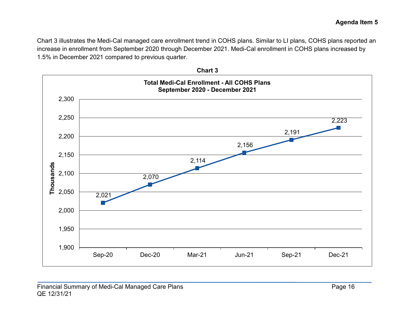Chart 3 illustrates the Medi-Cal managed care enrollment trend in COHS plans. Similar to LI plans, COHS plans reported an increase in enrollment from September 2020 through December 2021. Medi-Cal enrollment in COHS plans increased by 1.5% in December 2021 compared to previous quarter.



**Chart 3**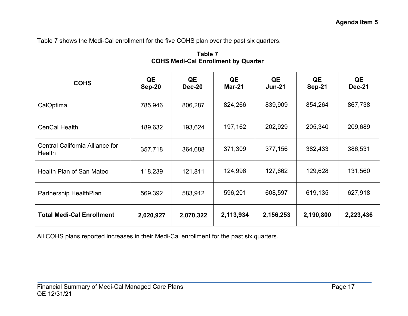Table 7 shows the Medi-Cal enrollment for the five COHS plan over the past six quarters.

| <b>COHS</b>                               | QE<br>Sep-20 | QE<br><b>Dec-20</b> | QE<br><b>Mar-21</b> | QE<br>$Jun-21$ | QE<br><b>Sep-21</b> | QE<br><b>Dec-21</b> |
|-------------------------------------------|--------------|---------------------|---------------------|----------------|---------------------|---------------------|
| CalOptima                                 | 785,946      | 806,287             | 824,266             | 839,909        | 854,264             | 867,738             |
| <b>CenCal Health</b>                      | 189,632      | 193,624             | 197,162             | 202,929        | 205,340             | 209,689             |
| Central California Alliance for<br>Health | 357,718      | 364,688             | 371,309             | 377,156        | 382,433             | 386,531             |
| Health Plan of San Mateo                  | 118,239      | 121,811             | 124,996             | 127,662        | 129,628             | 131,560             |
| Partnership HealthPlan                    | 569,392      | 583,912             | 596,201             | 608,597        | 619,135             | 627,918             |
| <b>Total Medi-Cal Enrollment</b>          | 2,020,927    | 2,070,322           | 2,113,934           | 2,156,253      | 2,190,800           | 2,223,436           |

**Table 7 COHS Medi-Cal Enrollment by Quarter**

All COHS plans reported increases in their Medi-Cal enrollment for the past six quarters.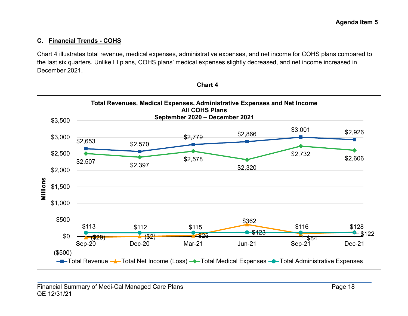# **C. Financial Trends - COHS**

Chart 4 illustrates total revenue, medical expenses, administrative expenses, and net income for COHS plans compared to the last six quarters. Unlike LI plans, COHS plans' medical expenses slightly decreased, and net income increased in December 2021.



**Chart 4**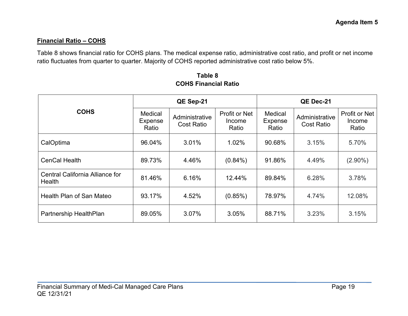#### **Financial Ratio – COHS**

Table 8 shows financial ratio for COHS plans. The medical expense ratio, administrative cost ratio, and profit or net income ratio fluctuates from quarter to quarter. Majority of COHS reported administrative cost ratio below 5%.

|                                                  |                                           | QE Sep-21                           |                                         | QE Dec-21                          |                                     |                                         |
|--------------------------------------------------|-------------------------------------------|-------------------------------------|-----------------------------------------|------------------------------------|-------------------------------------|-----------------------------------------|
| <b>COHS</b>                                      | <b>Medical</b><br><b>Expense</b><br>Ratio | Administrative<br><b>Cost Ratio</b> | <b>Profit or Net</b><br>Income<br>Ratio | Medical<br><b>Expense</b><br>Ratio | Administrative<br><b>Cost Ratio</b> | <b>Profit or Net</b><br>Income<br>Ratio |
| CalOptima                                        | 96.04%                                    | 3.01%                               | 1.02%                                   | 90.68%                             | 3.15%                               | 5.70%                                   |
| <b>CenCal Health</b>                             | 89.73%                                    | 4.46%                               | $(0.84\%)$                              | 91.86%                             | 4.49%                               | $(2.90\%)$                              |
| Central California Alliance for<br><b>Health</b> | 81.46%                                    | 6.16%                               | 12.44%                                  | 89.84%                             | 6.28%                               | 3.78%                                   |
| Health Plan of San Mateo                         | 93.17%                                    | 4.52%                               | (0.85%)                                 | 78.97%                             | 4.74%                               | 12.08%                                  |
| Partnership HealthPlan                           | 89.05%                                    | 3.07%                               | 3.05%                                   | 88.71%                             | 3.23%                               | 3.15%                                   |

**Table 8 COHS Financial Ratio**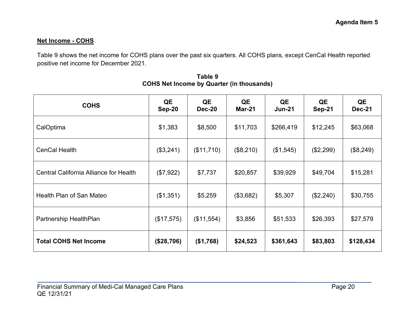#### **Net Income - COHS**

Table 9 shows the net income for COHS plans over the past six quarters. All COHS plans, except CenCal Health reported positive net income for December 2021.

| <b>COHS</b>                            | QE<br><b>Sep-20</b> | QE<br><b>Dec-20</b> | QE<br><b>Mar-21</b> | QE<br>$Jun-21$ | QE<br><b>Sep-21</b> | QE<br><b>Dec-21</b> |
|----------------------------------------|---------------------|---------------------|---------------------|----------------|---------------------|---------------------|
| CalOptima                              | \$1,383             | \$8,500             | \$11,703            | \$266,419      | \$12,245            | \$63,068            |
| <b>CenCal Health</b>                   | (\$3,241)           | (\$11,710)          | (\$8,210)           | (\$1,545)      | (\$2,299)           | (\$8,249)           |
| Central California Alliance for Health | (\$7,922)           | \$7,737             | \$20,857            | \$39,929       | \$49,704            | \$15,281            |
| Health Plan of San Mateo               | (\$1,351)           | \$5,259             | (\$3,682)           | \$5,307        | (\$2,240)           | \$30,755            |
| Partnership HealthPlan                 | (\$17,575)          | (\$11,554)          | \$3,856             | \$51,533       | \$26,393            | \$27,579            |
| <b>Total COHS Net Income</b>           | (\$28,706)          | (\$1,768)           | \$24,523            | \$361,643      | \$83,803            | \$128,434           |

| Table 9                                          |  |  |  |  |  |  |  |  |
|--------------------------------------------------|--|--|--|--|--|--|--|--|
| <b>COHS Net Income by Quarter (in thousands)</b> |  |  |  |  |  |  |  |  |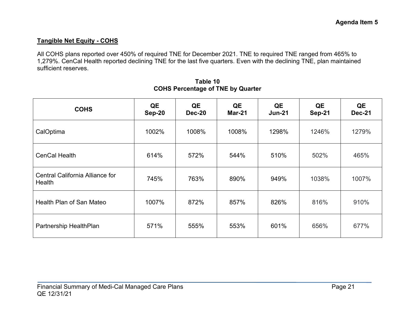#### **Tangible Net Equity - COHS**

All COHS plans reported over 450% of required TNE for December 2021. TNE to required TNE ranged from 465% to 1,279%. CenCal Health reported declining TNE for the last five quarters. Even with the declining TNE, plan maintained sufficient reserves.

| <b>COHS</b>                               | QE<br>Sep-20 | QE<br>Dec-20 | QE<br>Mar-21 | QE<br>$Jun-21$ | QE<br><b>Sep-21</b> | QE<br><b>Dec-21</b> |
|-------------------------------------------|--------------|--------------|--------------|----------------|---------------------|---------------------|
| CalOptima                                 | 1002%        | 1008%        | 1008%        | 1298%          | 1246%               | 1279%               |
| <b>CenCal Health</b>                      | 614%         | 572%         | 544%         | 510%           | 502%                | 465%                |
| Central California Alliance for<br>Health | 745%         | 763%         | 890%         | 949%           | 1038%               | 1007%               |
| Health Plan of San Mateo                  | 1007%        | 872%         | 857%         | 826%           | 816%                | 910%                |
| Partnership HealthPlan                    | 571%         | 555%         | 553%         | 601%           | 656%                | 677%                |

**Table 10 COHS Percentage of TNE by Quarter**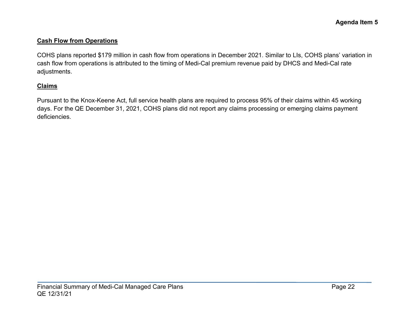#### **Cash Flow from Operations**

COHS plans reported \$179 million in cash flow from operations in December 2021. Similar to LIs, COHS plans' variation in cash flow from operations is attributed to the timing of Medi-Cal premium revenue paid by DHCS and Medi-Cal rate adjustments.

#### **Claims**

Pursuant to the Knox-Keene Act, full service health plans are required to process 95% of their claims within 45 working days. For the QE December 31, 2021, COHS plans did not report any claims processing or emerging claims payment deficiencies.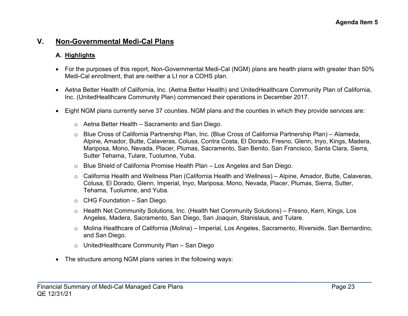# **V. Non-Governmental Medi-Cal Plans**

#### **A. Highlights**

- For the purposes of this report, Non-Governmental Medi-Cal (NGM) plans are health plans with greater than 50% Medi-Cal enrollment, that are neither a LI nor a COHS plan.
- Aetna Better Health of California, Inc. (Aetna Better Health) and UnitedHealthcare Community Plan of California, Inc. (UnitedHealthcare Community Plan) commenced their operations in December 2017.
- Eight NGM plans currently serve 37 counties. NGM plans and the counties in which they provide services are:
	- o Aetna Better Health Sacramento and San Diego.
	- o Blue Cross of California Partnership Plan, Inc. (Blue Cross of California Partnership Plan) Alameda, Alpine, Amador, Butte, Calaveras, Colusa, Contra Costa, El Dorado, Fresno, Glenn, Inyo, Kings, Madera, Mariposa, Mono, Nevada, Placer, Plumas, Sacramento, San Benito, San Francisco, Santa Clara, Sierra, Sutter Tehama, Tulare, Tuolumne, Yuba.
	- o Blue Shield of California Promise Health Plan Los Angeles and San Diego.
	- o California Health and Wellness Plan (California Health and Wellness) Alpine, Amador, Butte, Calaveras, Colusa, El Dorado, Glenn, Imperial, Inyo, Mariposa, Mono, Nevada, Placer, Plumas, Sierra, Sutter, Tehama, Tuolumne, and Yuba.
	- $\circ$  CHG Foundation San Diego.
	- o Health Net Community Solutions, Inc. (Health Net Community Solutions) Fresno, Kern, Kings, Los Angeles, Madera, Sacramento, San Diego, San Joaquin, Stanislaus, and Tulare.
	- o Molina Healthcare of California (Molina) Imperial, Los Angeles, Sacramento, Riverside, San Bernardino, and San Diego.
	- o UnitedHealthcare Community Plan San Diego
- The structure among NGM plans varies in the following ways: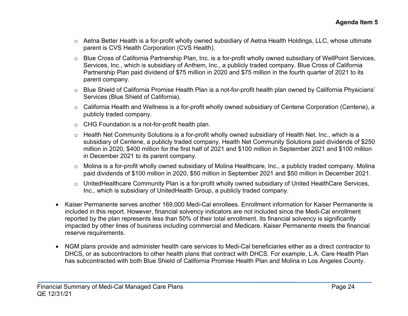- o Aetna Better Health is a for-profit wholly owned subsidiary of Aetna Health Holdings, LLC, whose ultimate parent is CVS Health Corporation (CVS Health).
- o Blue Cross of California Partnership Plan, Inc. is a for-profit wholly owned subsidiary of WellPoint Services, Services, Inc., which is subsidiary of Anthem, Inc., a publicly traded company. Blue Cross of California Partnership Plan paid dividend of \$75 million in 2020 and \$75 million in the fourth quarter of 2021 to its parent company.
- o Blue Shield of California Promise Health Plan is a not-for-profit health plan owned by California Physicians' Services (Blue Shield of California).
- o California Health and Wellness is a for-profit wholly owned subsidiary of Centene Corporation (Centene), a publicly traded company.
- o CHG Foundation is a not-for-profit health plan.
- o Health Net Community Solutions is a for-profit wholly owned subsidiary of Health Net, Inc., which is a subsidiary of Centene, a publicly traded company. Health Net Community Solutions paid dividends of \$250 million in 2020, \$400 million for the first half of 2021 and \$100 million in September 2021 and \$100 million in December 2021 to its parent company.
- o Molina is a for-profit wholly owned subsidiary of Molina Healthcare, Inc., a publicly traded company. Molina paid dividends of \$100 million in 2020, \$50 million in September 2021 and \$50 million in December 2021.
- o UnitedHealthcare Community Plan is a for-profit wholly owned subsidiary of United HealthCare Services, Inc., which is subsidiary of UnitedHealth Group, a publicly traded company.
- Kaiser Permanente serves another 169,000 Medi-Cal enrollees. Enrollment information for Kaiser Permanente is included in this report. However, financial solvency indicators are not included since the Medi-Cal enrollment reported by the plan represents less than 50% of their total enrollment. Its financial solvency is significantly impacted by other lines of business including commercial and Medicare. Kaiser Permanente meets the financial reserve requirements.
- NGM plans provide and administer health care services to Medi-Cal beneficiaries either as a direct contractor to DHCS, or as subcontractors to other health plans that contract with DHCS. For example, L.A. Care Health Plan has subcontracted with both Blue Shield of California Promise Health Plan and Molina in Los Angeles County.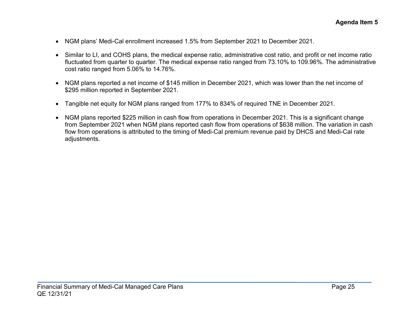- NGM plans' Medi-Cal enrollment increased 1.5% from September 2021 to December 2021.
- Similar to LI, and COHS plans, the medical expense ratio, administrative cost ratio, and profit or net income ratio fluctuated from quarter to quarter. The medical expense ratio ranged from 73.10% to 109.96%. The administrative cost ratio ranged from 5.06% to 14.76%.
- NGM plans reported a net income of \$145 million in December 2021, which was lower than the net income of \$295 million reported in September 2021.
- Tangible net equity for NGM plans ranged from 177% to 834% of required TNE in December 2021.
- NGM plans reported \$225 million in cash flow from operations in December 2021. This is a significant change from September 2021 when NGM plans reported cash flow from operations of \$638 million. The variation in cash flow from operations is attributed to the timing of Medi-Cal premium revenue paid by DHCS and Medi-Cal rate adjustments.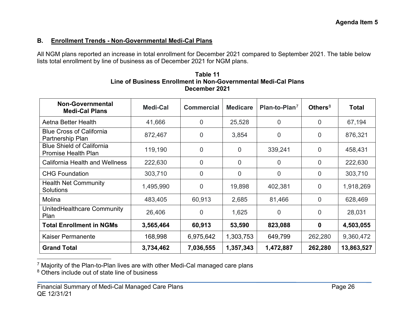#### **B. Enrollment Trends - Non-Governmental Medi-Cal Plans**

All NGM plans reported an increase in total enrollment for December 2021 compared to September 2021. The table below lists total enrollment by line of business as of December 2021 for NGM plans.

<span id="page-27-1"></span><span id="page-27-0"></span>

| Table 11                                                       |
|----------------------------------------------------------------|
| Line of Business Enrollment in Non-Governmental Medi-Cal Plans |
| December 2021                                                  |

| <b>Non-Governmental</b><br><b>Medi-Cal Plans</b>               | Medi-Cal  | <b>Commercial</b> | <b>Medicare</b> | Plan-to-Plan <sup>7</sup> | Others $8$     | <b>Total</b> |
|----------------------------------------------------------------|-----------|-------------------|-----------------|---------------------------|----------------|--------------|
| Aetna Better Health                                            | 41,666    | 0                 | 25,528          | 0                         | 0              | 67,194       |
| <b>Blue Cross of California</b><br>Partnership Plan            | 872,467   | 0                 | 3,854           | $\overline{0}$            | 0              | 876,321      |
| <b>Blue Shield of California</b><br><b>Promise Health Plan</b> | 119,190   | 0                 | $\overline{0}$  | 339,241                   | $\overline{0}$ | 458,431      |
| <b>California Health and Wellness</b>                          | 222,630   | $\overline{0}$    | $\overline{0}$  | 0                         | $\overline{0}$ | 222,630      |
| <b>CHG Foundation</b>                                          | 303,710   | $\overline{0}$    | $\overline{0}$  | $\overline{0}$            | $\overline{0}$ | 303,710      |
| <b>Health Net Community</b><br><b>Solutions</b>                | 1,495,990 | 0                 | 19,898          | 402,381                   | $\overline{0}$ | 1,918,269    |
| Molina                                                         | 483,405   | 60,913            | 2,685           | 81,466                    | $\overline{0}$ | 628,469      |
| UnitedHealthcare Community<br>Plan                             | 26,406    | 0                 | 1,625           | $\overline{0}$            | $\overline{0}$ | 28,031       |
| <b>Total Enrollment in NGMs</b>                                | 3,565,464 | 60,913            | 53,590          | 823,088                   | 0              | 4,503,055    |
| <b>Kaiser Permanente</b>                                       | 168,998   | 6,975,642         | 1,303,753       | 649,799                   | 262,280        | 9,360,472    |
| <b>Grand Total</b>                                             | 3,734,462 | 7,036,555         | 1,357,343       | 1,472,887                 | 262,280        | 13,863,527   |

<sup>7</sup> Majority of the Plan-to-Plan lives are with other Medi-Cal managed care plans

<sup>8</sup> Others include out of state line of business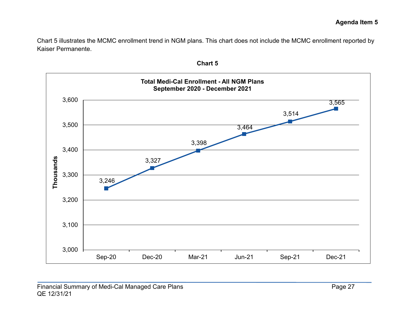Chart 5 illustrates the MCMC enrollment trend in NGM plans. This chart does not include the MCMC enrollment reported by Kaiser Permanente.



**Chart 5**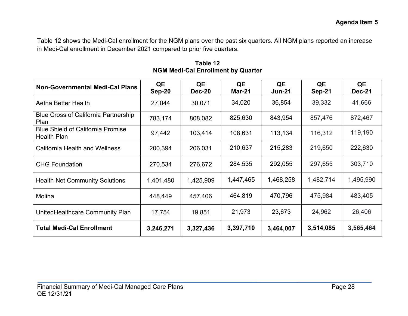Table 12 shows the Medi-Cal enrollment for the NGM plans over the past six quarters. All NGM plans reported an increase in Medi-Cal enrollment in December 2021 compared to prior five quarters.

| <b>Non-Governmental Medi-Cal Plans</b>                         | QE<br><b>Sep-20</b> | QE<br>Dec-20 | QE<br><b>Mar-21</b> | QE<br>$Jun-21$ | QE<br>$Sep-21$ | QE<br><b>Dec-21</b> |
|----------------------------------------------------------------|---------------------|--------------|---------------------|----------------|----------------|---------------------|
| Aetna Better Health                                            | 27,044              | 30,071       | 34,020              | 36,854         | 39,332         | 41,666              |
| <b>Blue Cross of California Partnership</b><br>Plan            | 783,174             | 808,082      | 825,630             | 843,954        | 857,476        | 872,467             |
| <b>Blue Shield of California Promise</b><br><b>Health Plan</b> | 97,442              | 103,414      | 108,631             | 113,134        | 116,312        | 119,190             |
| <b>California Health and Wellness</b>                          | 200,394             | 206,031      | 210,637             | 215,283        | 219,650        | 222,630             |
| <b>CHG Foundation</b>                                          | 270,534             | 276,672      | 284,535             | 292,055        | 297,655        | 303,710             |
| <b>Health Net Community Solutions</b>                          | 1,401,480           | 1,425,909    | 1,447,465           | 1,468,258      | 1,482,714      | 1,495,990           |
| Molina                                                         | 448,449             | 457,406      | 464,819             | 470,796        | 475,984        | 483,405             |
| UnitedHealthcare Community Plan                                | 17,754              | 19,851       | 21,973              | 23,673         | 24,962         | 26,406              |
| <b>Total Medi-Cal Enrollment</b>                               | 3,246,271           | 3,327,436    | 3,397,710           | 3,464,007      | 3,514,085      | 3,565,464           |

**Table 12 NGM Medi-Cal Enrollment by Quarter**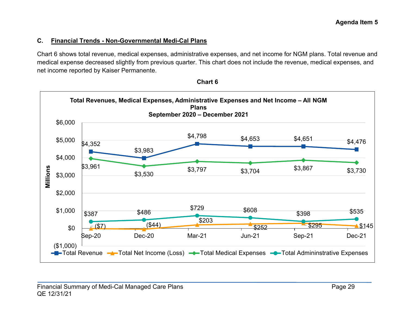#### **C. Financial Trends - Non-Governmental Medi-Cal Plans**

Chart 6 shows total revenue, medical expenses, administrative expenses, and net income for NGM plans. Total revenue and medical expense decreased slightly from previous quarter. This chart does not include the revenue, medical expenses, and net income reported by Kaiser Permanente.



**Chart 6**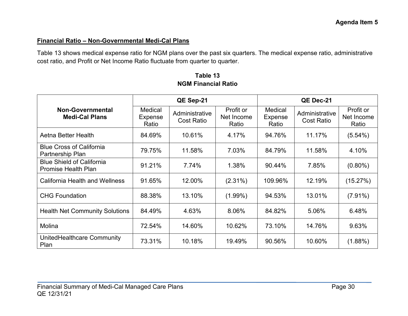#### **Financial Ratio – Non-Governmental Medi-Cal Plans**

Table 13 shows medical expense ratio for NGM plans over the past six quarters. The medical expense ratio, administrative cost ratio, and Profit or Net Income Ratio fluctuate from quarter to quarter.

|                                                                | QE Sep-21                          |                                     |                                  | QE Dec-21                   |                                     |                                  |
|----------------------------------------------------------------|------------------------------------|-------------------------------------|----------------------------------|-----------------------------|-------------------------------------|----------------------------------|
| <b>Non-Governmental</b><br><b>Medi-Cal Plans</b>               | Medical<br><b>Expense</b><br>Ratio | Administrative<br><b>Cost Ratio</b> | Profit or<br>Net Income<br>Ratio | Medical<br>Expense<br>Ratio | Administrative<br><b>Cost Ratio</b> | Profit or<br>Net Income<br>Ratio |
| Aetna Better Health                                            | 84.69%                             | 10.61%                              | 4.17%                            | 94.76%                      | 11.17%                              | $(5.54\%)$                       |
| <b>Blue Cross of California</b><br>Partnership Plan            | 79.75%                             | 11.58%                              | 7.03%                            | 84.79%                      | 11.58%                              | 4.10%                            |
| <b>Blue Shield of California</b><br><b>Promise Health Plan</b> | 91.21%                             | 7.74%                               | 1.38%                            | 90.44%                      | 7.85%                               | $(0.80\%)$                       |
| <b>California Health and Wellness</b>                          | 91.65%                             | 12.00%                              | $(2.31\%)$                       | 109.96%                     | 12.19%                              | (15.27%)                         |
| <b>CHG Foundation</b>                                          | 88.38%                             | 13.10%                              | $(1.99\%)$                       | 94.53%                      | 13.01%                              | $(7.91\%)$                       |
| <b>Health Net Community Solutions</b>                          | 84.49%                             | 4.63%                               | 8.06%                            | 84.82%                      | 5.06%                               | 6.48%                            |
| Molina                                                         | 72.54%                             | 14.60%                              | 10.62%                           | 73.10%                      | 14.76%                              | 9.63%                            |
| UnitedHealthcare Community<br>Plan                             | 73.31%                             | 10.18%                              | 19.49%                           | 90.56%                      | 10.60%                              | (1.88%)                          |

**Table 13 NGM Financial Ratio**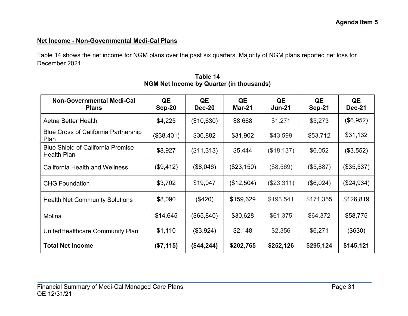# **Net Income - Non-Governmental Medi-Cal Plans**

Table 14 shows the net income for NGM plans over the past six quarters. Majority of NGM plans reported net loss for December 2021.

| <b>Non-Governmental Medi-Cal</b><br><b>Plans</b>               | QE<br>Sep-20 | QE<br>Dec-20 | QE<br>Mar-21 | QE<br><b>Jun-21</b> | QE<br>Sep-21 | QE<br><b>Dec-21</b> |
|----------------------------------------------------------------|--------------|--------------|--------------|---------------------|--------------|---------------------|
| Aetna Better Health                                            | \$4,225      | (\$10,630)   | \$8,668      | \$1,271             | \$5,273      | (\$6,952)           |
| <b>Blue Cross of California Partnership</b><br>Plan            | (\$38,401)   | \$36,882     | \$31,902     | \$43,599            | \$53,712     | \$31,132            |
| <b>Blue Shield of California Promise</b><br><b>Health Plan</b> | \$8,927      | (\$11,313)   | \$5,444      | (\$18,137)          | \$6,052      | (\$3,552)           |
| <b>California Health and Wellness</b>                          | (\$9,412)    | (\$8,046)    | (\$23,150)   | (\$8,569)           | (\$5,887)    | (\$35,537)          |
| <b>CHG Foundation</b>                                          | \$3,702      | \$19,047     | (\$12,504)   | (\$23,311)          | (\$6,024)    | (\$24,934)          |
| <b>Health Net Community Solutions</b>                          | \$8,090      | (\$420)      | \$159,629    | \$193,541           | \$171,355    | \$126,819           |
| Molina                                                         | \$14,645     | (\$65, 840)  | \$30,628     | \$61,375            | \$64,372     | \$58,775            |
| UnitedHealthcare Community Plan                                | \$1,110      | (\$3,924)    | \$2,148      | \$2,356             | \$6,271      | (\$630)             |
| <b>Total Net Income</b>                                        | (\$7,115)    | (\$44,244)   | \$202,765    | \$252,126           | \$295,124    | \$145,121           |

**Table 14 NGM Net Income by Quarter (in thousands)**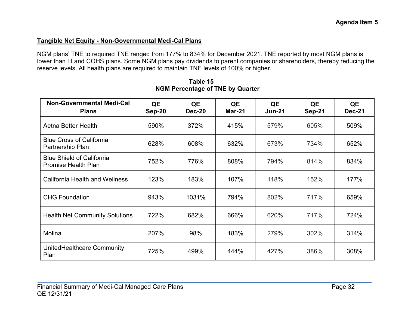#### **Tangible Net Equity - Non-Governmental Medi-Cal Plans**

NGM plans' TNE to required TNE ranged from 177% to 834% for December 2021. TNE reported by most NGM plans is lower than LI and COHS plans. Some NGM plans pay dividends to parent companies or shareholders, thereby reducing the reserve levels. All health plans are required to maintain TNE levels of 100% or higher.

| <b>Non-Governmental Medi-Cal</b><br><b>Plans</b>               | QE<br><b>Sep-20</b> | QE<br>Dec-20 | QE<br>Mar-21 | QE<br>$Jun-21$ | QE<br>Sep-21 | QE<br>Dec-21 |
|----------------------------------------------------------------|---------------------|--------------|--------------|----------------|--------------|--------------|
| Aetna Better Health                                            | 590%                | 372%         | 415%         | 579%           | 605%         | 509%         |
| <b>Blue Cross of California</b><br>Partnership Plan            | 628%                | 608%         | 632%         | 673%           | 734%         | 652%         |
| <b>Blue Shield of California</b><br><b>Promise Health Plan</b> | 752%                | 776%         | 808%         | 794%           | 814%         | 834%         |
| <b>California Health and Wellness</b>                          | 123%                | 183%         | 107%         | 118%           | 152%         | 177%         |
| <b>CHG Foundation</b>                                          | 943%                | 1031%        | 794%         | 802%           | 717%         | 659%         |
| <b>Health Net Community Solutions</b>                          | 722%                | 682%         | 666%         | 620%           | 717%         | 724%         |
| Molina                                                         | 207%                | 98%          | 183%         | 279%           | 302%         | 314%         |
| UnitedHealthcare Community<br>Plan                             | 725%                | 499%         | 444%         | 427%           | 386%         | 308%         |

**Table 15 NGM Percentage of TNE by Quarter**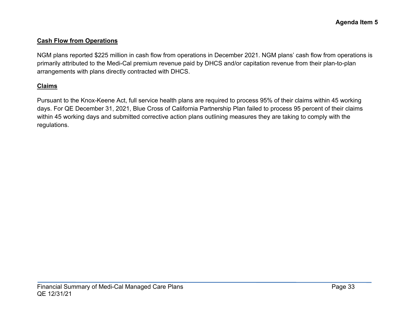#### **Cash Flow from Operations**

NGM plans reported \$225 million in cash flow from operations in December 2021. NGM plans' cash flow from operations is primarily attributed to the Medi-Cal premium revenue paid by DHCS and/or capitation revenue from their plan-to-plan arrangements with plans directly contracted with DHCS.

#### **Claims**

Pursuant to the Knox-Keene Act, full service health plans are required to process 95% of their claims within 45 working days. For QE December 31, 2021, Blue Cross of California Partnership Plan failed to process 95 percent of their claims within 45 working days and submitted corrective action plans outlining measures they are taking to comply with the regulations.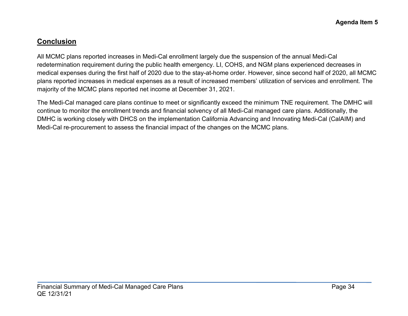# **Conclusion**

All MCMC plans reported increases in Medi-Cal enrollment largely due the suspension of the annual Medi-Cal redetermination requirement during the public health emergency. LI, COHS, and NGM plans experienced decreases in medical expenses during the first half of 2020 due to the stay-at-home order. However, since second half of 2020, all MCMC plans reported increases in medical expenses as a result of increased members' utilization of services and enrollment. The majority of the MCMC plans reported net income at December 31, 2021.

The Medi-Cal managed care plans continue to meet or significantly exceed the minimum TNE requirement. The DMHC will continue to monitor the enrollment trends and financial solvency of all Medi-Cal managed care plans. Additionally, the DMHC is working closely with DHCS on the implementation California Advancing and Innovating Medi-Cal (CalAIM) and Medi-Cal re-procurement to assess the financial impact of the changes on the MCMC plans.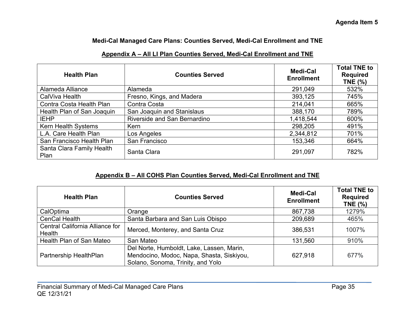#### **Medi-Cal Managed Care Plans: Counties Served, Medi-Cal Enrollment and TNE**

# **Appendix A – All LI Plan Counties Served, Medi-Cal Enrollment and TNE**

| <b>Health Plan</b>                | <b>Counties Served</b>       | <b>Medi-Cal</b><br><b>Enrollment</b> | <b>Total TNE to</b><br><b>Required</b><br><b>TNE (%)</b> |
|-----------------------------------|------------------------------|--------------------------------------|----------------------------------------------------------|
| Alameda Alliance                  | Alameda                      | 291,049                              | 532%                                                     |
| CalViva Health                    | Fresno, Kings, and Madera    | 393,125                              | 745%                                                     |
| Contra Costa Health Plan          | Contra Costa                 | 214,041                              | 665%                                                     |
| Health Plan of San Joaquin        | San Joaquin and Stanislaus   | 388,170                              | 789%                                                     |
| <b>IEHP</b>                       | Riverside and San Bernardino | 1,418,544                            | 600%                                                     |
| Kern Health Systems               | Kern                         | 298,205                              | 491%                                                     |
| L.A. Care Health Plan             | Los Angeles                  | 2,344,812                            | 701%                                                     |
| San Francisco Health Plan         | San Francisco                | 153,346                              | 664%                                                     |
| Santa Clara Family Health<br>Plan | Santa Clara                  | 291,097                              | 782%                                                     |

#### **Appendix B – All COHS Plan Counties Served, Medi-Cal Enrollment and TNE**

| <b>Health Plan</b>                               | <b>Counties Served</b>                                                                                                      | Medi-Cal<br><b>Enrollment</b> | <b>Total TNE to</b><br><b>Required</b><br><b>TNE (%)</b> |
|--------------------------------------------------|-----------------------------------------------------------------------------------------------------------------------------|-------------------------------|----------------------------------------------------------|
| CalOptima                                        | Orange                                                                                                                      | 867,738                       | 1279%                                                    |
| <b>CenCal Health</b>                             | Santa Barbara and San Luis Obispo                                                                                           | 209,689                       | 465%                                                     |
| Central California Alliance for<br><b>Health</b> | Merced, Monterey, and Santa Cruz                                                                                            | 386,531                       | 1007%                                                    |
| Health Plan of San Mateo                         | San Mateo                                                                                                                   | 131,560                       | 910%                                                     |
| Partnership HealthPlan                           | Del Norte, Humboldt, Lake, Lassen, Marin,<br>Mendocino, Modoc, Napa, Shasta, Siskiyou,<br>Solano, Sonoma, Trinity, and Yolo | 627,918                       | 677%                                                     |